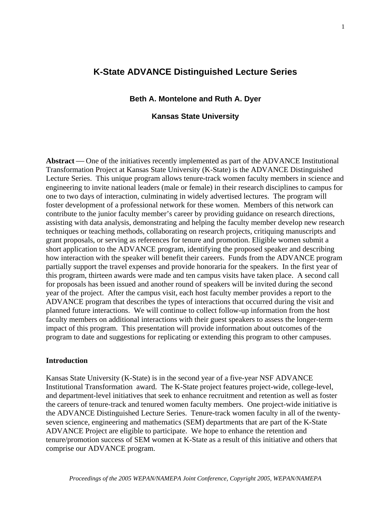# **K-State ADVANCE Distinguished Lecture Series**

# **Beth A. Montelone and Ruth A. Dyer**

## **Kansas State University**

**Abstract** — One of the initiatives recently implemented as part of the ADVANCE Institutional Transformation Project at Kansas State University (K-State) is the ADVANCE Distinguished Lecture Series. This unique program allows tenure-track women faculty members in science and engineering to invite national leaders (male or female) in their research disciplines to campus for one to two days of interaction, culminating in widely advertised lectures. The program will foster development of a professional network for these women. Members of this network can contribute to the junior faculty member's career by providing guidance on research directions, assisting with data analysis, demonstrating and helping the faculty member develop new research techniques or teaching methods, collaborating on research projects, critiquing manuscripts and grant proposals, or serving as references for tenure and promotion. Eligible women submit a short application to the ADVANCE program, identifying the proposed speaker and describing how interaction with the speaker will benefit their careers. Funds from the ADVANCE program partially support the travel expenses and provide honoraria for the speakers. In the first year of this program, thirteen awards were made and ten campus visits have taken place. A second call for proposals has been issued and another round of speakers will be invited during the second year of the project. After the campus visit, each host faculty member provides a report to the ADVANCE program that describes the types of interactions that occurred during the visit and planned future interactions. We will continue to collect follow-up information from the host faculty members on additional interactions with their guest speakers to assess the longer-term impact of this program. This presentation will provide information about outcomes of the program to date and suggestions for replicating or extending this program to other campuses.

## **Introduction**

Kansas State University (K-State) is in the second year of a five-year NSF ADVANCE Institutional Transformation award. The K-State project features project-wide, college-level, and department-level initiatives that seek to enhance recruitment and retention as well as foster the careers of tenure-track and tenured women faculty members. One project-wide initiative is the ADVANCE Distinguished Lecture Series. Tenure-track women faculty in all of the twentyseven science, engineering and mathematics (SEM) departments that are part of the K-State ADVANCE Project are eligible to participate. We hope to enhance the retention and tenure/promotion success of SEM women at K-State as a result of this initiative and others that comprise our ADVANCE program.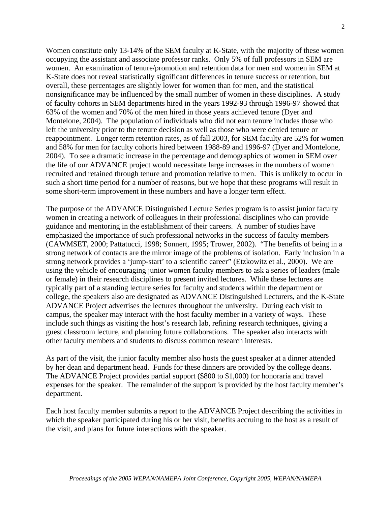Women constitute only 13-14% of the SEM faculty at K-State, with the majority of these women occupying the assistant and associate professor ranks. Only 5% of full professors in SEM are women. An examination of tenure/promotion and retention data for men and women in SEM at K-State does not reveal statistically significant differences in tenure success or retention, but overall, these percentages are slightly lower for women than for men, and the statistical nonsignificance may be influenced by the small number of women in these disciplines. A study of faculty cohorts in SEM departments hired in the years 1992-93 through 1996-97 showed that 63% of the women and 70% of the men hired in those years achieved tenure (Dyer and Montelone, 2004). The population of individuals who did not earn tenure includes those who left the university prior to the tenure decision as well as those who were denied tenure or reappointment. Longer term retention rates, as of fall 2003, for SEM faculty are 52% for women and 58% for men for faculty cohorts hired between 1988-89 and 1996-97 (Dyer and Montelone, 2004). To see a dramatic increase in the percentage and demographics of women in SEM over the life of our ADVANCE project would necessitate large increases in the numbers of women recruited and retained through tenure and promotion relative to men. This is unlikely to occur in such a short time period for a number of reasons, but we hope that these programs will result in some short-term improvement in these numbers and have a longer term effect.

The purpose of the ADVANCE Distinguished Lecture Series program is to assist junior faculty women in creating a network of colleagues in their professional disciplines who can provide guidance and mentoring in the establishment of their careers. A number of studies have emphasized the importance of such professional networks in the success of faculty members (CAWMSET, 2000; Pattatucci, 1998; Sonnert, 1995; Trower, 2002). "The benefits of being in a strong network of contacts are the mirror image of the problems of isolation. Early inclusion in a strong network provides a 'jump-start' to a scientific career" (Etzkowitz et al., 2000). We are using the vehicle of encouraging junior women faculty members to ask a series of leaders (male or female) in their research disciplines to present invited lectures. While these lectures are typically part of a standing lecture series for faculty and students within the department or college, the speakers also are designated as ADVANCE Distinguished Lecturers, and the K-State ADVANCE Project advertises the lectures throughout the university. During each visit to campus, the speaker may interact with the host faculty member in a variety of ways. These include such things as visiting the host's research lab, refining research techniques, giving a guest classroom lecture, and planning future collaborations. The speaker also interacts with other faculty members and students to discuss common research interests.

As part of the visit, the junior faculty member also hosts the guest speaker at a dinner attended by her dean and department head. Funds for these dinners are provided by the college deans. The ADVANCE Project provides partial support (\$800 to \$1,000) for honoraria and travel expenses for the speaker. The remainder of the support is provided by the host faculty member's department.

Each host faculty member submits a report to the ADVANCE Project describing the activities in which the speaker participated during his or her visit, benefits accruing to the host as a result of the visit, and plans for future interactions with the speaker.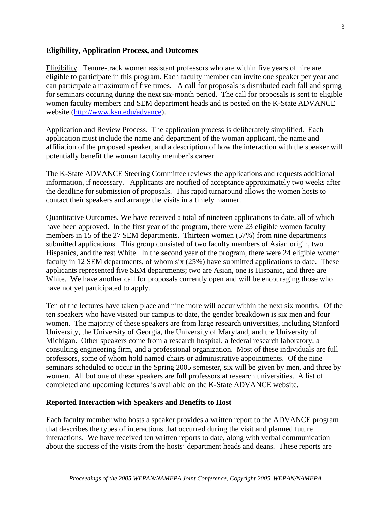# **Eligibility, Application Process, and Outcomes**

Eligibility. Tenure-track women assistant professors who are within five years of hire are eligible to participate in this program. Each faculty member can invite one speaker per year and can participate a maximum of five times. A call for proposals is distributed each fall and spring for seminars occuring during the next six-month period. The call for proposals is sent to eligible women faculty members and SEM department heads and is posted on the K-State ADVANCE website (http://www.ksu.edu/advance).

Application and Review Process. The application process is deliberately simplified. Each application must include the name and department of the woman applicant, the name and affiliation of the proposed speaker, and a description of how the interaction with the speaker will potentially benefit the woman faculty member's career.

The K-State ADVANCE Steering Committee reviews the applications and requests additional information, if necessary. Applicants are notified of acceptance approximately two weeks after the deadline for submission of proposals. This rapid turnaround allows the women hosts to contact their speakers and arrange the visits in a timely manner.

Quantitative Outcomes. We have received a total of nineteen applications to date, all of which have been approved. In the first year of the program, there were 23 eligible women faculty members in 15 of the 27 SEM departments. Thirteen women (57%) from nine departments submitted applications. This group consisted of two faculty members of Asian origin, two Hispanics, and the rest White. In the second year of the program, there were 24 eligible women faculty in 12 SEM departments, of whom six (25%) have submitted applications to date. These applicants represented five SEM departments; two are Asian, one is Hispanic, and three are White. We have another call for proposals currently open and will be encouraging those who have not yet participated to apply.

Ten of the lectures have taken place and nine more will occur within the next six months. Of the ten speakers who have visited our campus to date, the gender breakdown is six men and four women. The majority of these speakers are from large research universities, including Stanford University, the University of Georgia, the University of Maryland, and the University of Michigan. Other speakers come from a research hospital, a federal research laboratory, a consulting engineering firm, and a professional organization. Most of these individuals are full professors, some of whom hold named chairs or administrative appointments. Of the nine seminars scheduled to occur in the Spring 2005 semester, six will be given by men, and three by women. All but one of these speakers are full professors at research universities. A list of completed and upcoming lectures is available on the K-State ADVANCE website.

## **Reported Interaction with Speakers and Benefits to Host**

Each faculty member who hosts a speaker provides a written report to the ADVANCE program that describes the types of interactions that occurred during the visit and planned future interactions. We have received ten written reports to date, along with verbal communication about the success of the visits from the hosts' department heads and deans. These reports are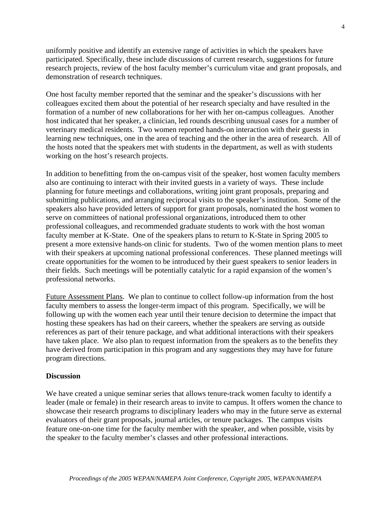uniformly positive and identify an extensive range of activities in which the speakers have participated. Specifically, these include discussions of current research, suggestions for future research projects, review of the host faculty member's curriculum vitae and grant proposals, and demonstration of research techniques.

One host faculty member reported that the seminar and the speaker's discussions with her colleagues excited them about the potential of her research specialty and have resulted in the formation of a number of new collaborations for her with her on-campus colleagues. Another host indicated that her speaker, a clinician, led rounds describing unusual cases for a number of veterinary medical residents. Two women reported hands-on interaction with their guests in learning new techniques, one in the area of teaching and the other in the area of research. All of the hosts noted that the speakers met with students in the department, as well as with students working on the host's research projects.

In addition to benefitting from the on-campus visit of the speaker, host women faculty members also are continuing to interact with their invited guests in a variety of ways. These include planning for future meetings and collaborations, writing joint grant proposals, preparing and submitting publications, and arranging reciprocal visits to the speaker's institution. Some of the speakers also have provided letters of support for grant proposals, nominated the host women to serve on committees of national professional organizations, introduced them to other professional colleagues, and recommended graduate students to work with the host woman faculty member at K-State. One of the speakers plans to return to K-State in Spring 2005 to present a more extensive hands-on clinic for students. Two of the women mention plans to meet with their speakers at upcoming national professional conferences. These planned meetings will create opportunities for the women to be introduced by their guest speakers to senior leaders in their fields. Such meetings will be potentially catalytic for a rapid expansion of the women's professional networks.

Future Assessment Plans. We plan to continue to collect follow-up information from the host faculty members to assess the longer-term impact of this program. Specifically, we will be following up with the women each year until their tenure decision to determine the impact that hosting these speakers has had on their careers, whether the speakers are serving as outside references as part of their tenure package, and what additional interactions with their speakers have taken place. We also plan to request information from the speakers as to the benefits they have derived from participation in this program and any suggestions they may have for future program directions.

## **Discussion**

We have created a unique seminar series that allows tenure-track women faculty to identify a leader (male or female) in their research areas to invite to campus. It offers women the chance to showcase their research programs to disciplinary leaders who may in the future serve as external evaluators of their grant proposals, journal articles, or tenure packages. The campus visits feature one-on-one time for the faculty member with the speaker, and when possible, visits by the speaker to the faculty member's classes and other professional interactions.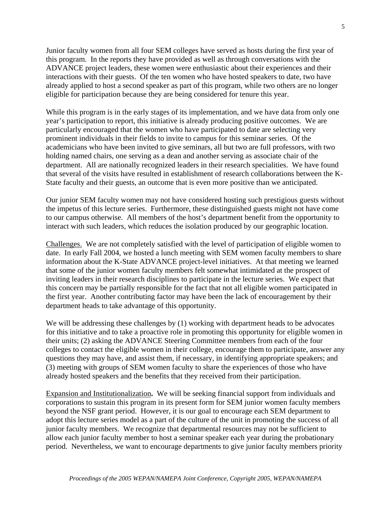Junior faculty women from all four SEM colleges have served as hosts during the first year of this program. In the reports they have provided as well as through conversations with the ADVANCE project leaders, these women were enthusiastic about their experiences and their interactions with their guests. Of the ten women who have hosted speakers to date, two have already applied to host a second speaker as part of this program, while two others are no longer eligible for participation because they are being considered for tenure this year.

While this program is in the early stages of its implementation, and we have data from only one year's participation to report, this initiative is already producing positive outcomes. We are particularly encouraged that the women who have participated to date are selecting very prominent individuals in their fields to invite to campus for this seminar series. Of the academicians who have been invited to give seminars, all but two are full professors, with two holding named chairs, one serving as a dean and another serving as associate chair of the department. All are nationally recognized leaders in their research specialities. We have found that several of the visits have resulted in establishment of research collaborations between the K-State faculty and their guests, an outcome that is even more positive than we anticipated.

Our junior SEM faculty women may not have considered hosting such prestigious guests without the impetus of this lecture series. Furthermore, these distinguished guests might not have come to our campus otherwise. All members of the host's department benefit from the opportunity to interact with such leaders, which reduces the isolation produced by our geographic location.

Challenges. We are not completely satisfied with the level of participation of eligible women to date. In early Fall 2004, we hosted a lunch meeting with SEM women faculty members to share information about the K-State ADVANCE project-level initiatives. At that meeting we learned that some of the junior women faculty members felt somewhat intimidated at the prospect of inviting leaders in their research disciplines to participate in the lecture series. We expect that this concern may be partially responsible for the fact that not all eligible women participated in the first year. Another contributing factor may have been the lack of encouragement by their department heads to take advantage of this opportunity.

We will be addressing these challenges by (1) working with department heads to be advocates for this initiative and to take a proactive role in promoting this opportunity for eligible women in their units; (2) asking the ADVANCE Steering Committee members from each of the four colleges to contact the eligible women in their college, encourage them to participate, answer any questions they may have, and assist them, if necessary, in identifying appropriate speakers; and (3) meeting with groups of SEM women faculty to share the experiences of those who have already hosted speakers and the benefits that they received from their participation.

Expansion and Institutionalization**.** We will be seeking financial support from individuals and corporations to sustain this program in its present form for SEM junior women faculty members beyond the NSF grant period. However, it is our goal to encourage each SEM department to adopt this lecture series model as a part of the culture of the unit in promoting the success of all junior faculty members. We recognize that departmental resources may not be sufficient to allow each junior faculty member to host a seminar speaker each year during the probationary period. Nevertheless, we want to encourage departments to give junior faculty members priority